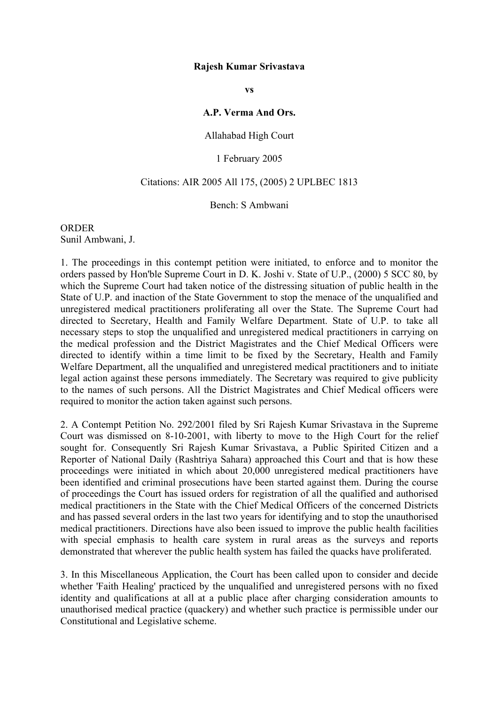### **Rajesh Kumar Srivastava**

**vs**

### **A.P. Verma And Ors.**

## Allahabad High Court

## 1 February 2005

# Citations: AIR 2005 All 175, (2005) 2 UPLBEC 1813

### Bench: S Ambwani

**ORDER** Sunil Ambwani, J.

1. The proceedings in this contempt petition were initiated, to enforce and to monitor the orders passed by Hon'ble Supreme Court in D. K. Joshi v. State of U.P., (2000) 5 SCC 80, by which the Supreme Court had taken notice of the distressing situation of public health in the State of U.P. and inaction of the State Government to stop the menace of the unqualified and unregistered medical practitioners proliferating all over the State. The Supreme Court had directed to Secretary, Health and Family Welfare Department. State of U.P. to take all necessary steps to stop the unqualified and unregistered medical practitioners in carrying on the medical profession and the District Magistrates and the Chief Medical Officers were directed to identify within a time limit to be fixed by the Secretary, Health and Family Welfare Department, all the unqualified and unregistered medical practitioners and to initiate legal action against these persons immediately. The Secretary was required to give publicity to the names of such persons. All the District Magistrates and Chief Medical officers were required to monitor the action taken against such persons.

2. A Contempt Petition No. 292/2001 filed by Sri Rajesh Kumar Srivastava in the Supreme Court was dismissed on 8-10-2001, with liberty to move to the High Court for the relief sought for. Consequently Sri Rajesh Kumar Srivastava, a Public Spirited Citizen and a Reporter of National Daily (Rashtriya Sahara) approached this Court and that is how these proceedings were initiated in which about 20,000 unregistered medical practitioners have been identified and criminal prosecutions have been started against them. During the course of proceedings the Court has issued orders for registration of all the qualified and authorised medical practitioners in the State with the Chief Medical Officers of the concerned Districts and has passed several orders in the last two years for identifying and to stop the unauthorised medical practitioners. Directions have also been issued to improve the public health facilities with special emphasis to health care system in rural areas as the surveys and reports demonstrated that wherever the public health system has failed the quacks have proliferated.

3. In this Miscellaneous Application, the Court has been called upon to consider and decide whether 'Faith Healing' practiced by the unqualified and unregistered persons with no fixed identity and qualifications at all at a public place after charging consideration amounts to unauthorised medical practice (quackery) and whether such practice is permissible under our Constitutional and Legislative scheme.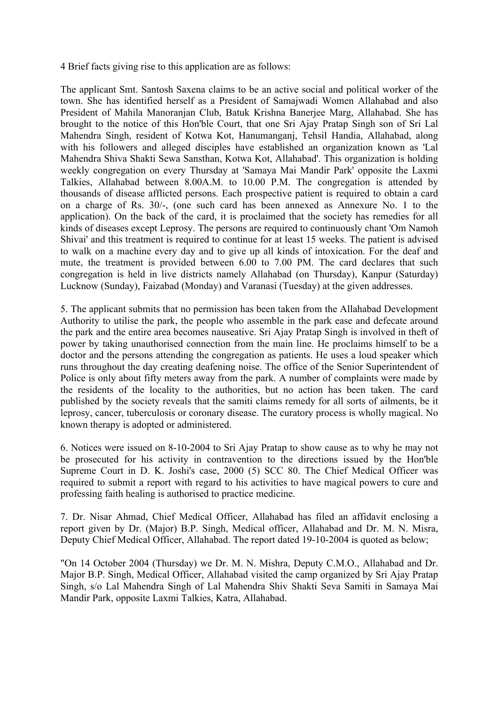4 Brief facts giving rise to this application are as follows:

The applicant Smt. Santosh Saxena claims to be an active social and political worker of the town. She has identified herself as a President of Samajwadi Women Allahabad and also President of Mahila Manoranjan Club, Batuk Krishna Banerjee Marg, Allahabad. She has brought to the notice of this Hon'ble Court, that one Sri Ajay Pratap Singh son of Sri Lal Mahendra Singh, resident of Kotwa Kot, Hanumanganj, Tehsil Handia, Allahabad, along with his followers and alleged disciples have established an organization known as 'Lal Mahendra Shiva Shakti Sewa Sansthan, Kotwa Kot, Allahabad'. This organization is holding weekly congregation on every Thursday at 'Samaya Mai Mandir Park' opposite the Laxmi Talkies, Allahabad between 8.00A.M. to 10.00 P.M. The congregation is attended by thousands of disease afflicted persons. Each prospective patient is required to obtain a card on a charge of Rs. 30/-, (one such card has been annexed as Annexure No. 1 to the application). On the back of the card, it is proclaimed that the society has remedies for all kinds of diseases except Leprosy. The persons are required to continuously chant 'Om Namoh Shivai' and this treatment is required to continue for at least 15 weeks. The patient is advised to walk on a machine every day and to give up all kinds of intoxication. For the deaf and mute, the treatment is provided between 6.00 to 7.00 PM. The card declares that such congregation is held in live districts namely Allahabad (on Thursday), Kanpur (Saturday) Lucknow (Sunday), Faizabad (Monday) and Varanasi (Tuesday) at the given addresses.

5. The applicant submits that no permission has been taken from the Allahabad Development Authority to utilise the park, the people who assemble in the park ease and defecate around the park and the entire area becomes nauseative. Sri Ajay Pratap Singh is involved in theft of power by taking unauthorised connection from the main line. He proclaims himself to be a doctor and the persons attending the congregation as patients. He uses a loud speaker which runs throughout the day creating deafening noise. The office of the Senior Superintendent of Police is only about fifty meters away from the park. A number of complaints were made by the residents of the locality to the authorities, but no action has been taken. The card published by the society reveals that the samiti claims remedy for all sorts of ailments, be it leprosy, cancer, tuberculosis or coronary disease. The curatory process is wholly magical. No known therapy is adopted or administered.

6. Notices were issued on 8-10-2004 to Sri Ajay Pratap to show cause as to why he may not be prosecuted for his activity in contravention to the directions issued by the Hon'ble Supreme Court in D. K. Joshi's case, 2000 (5) SCC 80. The Chief Medical Officer was required to submit a report with regard to his activities to have magical powers to cure and professing faith healing is authorised to practice medicine.

7. Dr. Nisar Ahmad, Chief Medical Officer, Allahabad has filed an affidavit enclosing a report given by Dr. (Major) B.P. Singh, Medical officer, Allahabad and Dr. M. N. Misra, Deputy Chief Medical Officer, Allahabad. The report dated 19-10-2004 is quoted as below;

"On 14 October 2004 (Thursday) we Dr. M. N. Mishra, Deputy C.M.O., Allahabad and Dr. Major B.P. Singh, Medical Officer, Allahabad visited the camp organized by Sri Ajay Pratap Singh, s/o Lal Mahendra Singh of Lal Mahendra Shiv Shakti Seva Samiti in Samaya Mai Mandir Park, opposite Laxmi Talkies, Katra, Allahabad.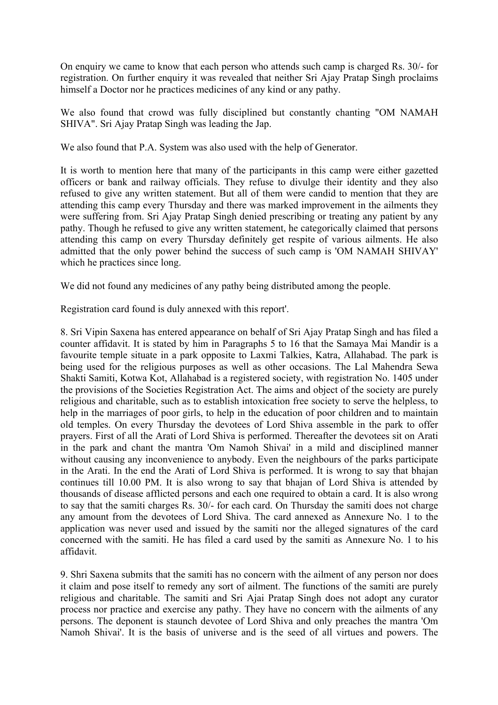On enquiry we came to know that each person who attends such camp is charged Rs. 30/- for registration. On further enquiry it was revealed that neither Sri Ajay Pratap Singh proclaims himself a Doctor nor he practices medicines of any kind or any pathy.

We also found that crowd was fully disciplined but constantly chanting "OM NAMAH SHIVA". Sri Ajay Pratap Singh was leading the Jap.

We also found that P.A. System was also used with the help of Generator.

It is worth to mention here that many of the participants in this camp were either gazetted officers or bank and railway officials. They refuse to divulge their identity and they also refused to give any written statement. But all of them were candid to mention that they are attending this camp every Thursday and there was marked improvement in the ailments they were suffering from. Sri Ajay Pratap Singh denied prescribing or treating any patient by any pathy. Though he refused to give any written statement, he categorically claimed that persons attending this camp on every Thursday definitely get respite of various ailments. He also admitted that the only power behind the success of such camp is 'OM NAMAH SHIVAY' which he practices since long.

We did not found any medicines of any pathy being distributed among the people.

Registration card found is duly annexed with this report'.

8. Sri Vipin Saxena has entered appearance on behalf of Sri Ajay Pratap Singh and has filed a counter affidavit. It is stated by him in Paragraphs 5 to 16 that the Samaya Mai Mandir is a favourite temple situate in a park opposite to Laxmi Talkies, Katra, Allahabad. The park is being used for the religious purposes as well as other occasions. The Lal Mahendra Sewa Shakti Samiti, Kotwa Kot, Allahabad is a registered society, with registration No. 1405 under the provisions of the Societies Registration Act. The aims and object of the society are purely religious and charitable, such as to establish intoxication free society to serve the helpless, to help in the marriages of poor girls, to help in the education of poor children and to maintain old temples. On every Thursday the devotees of Lord Shiva assemble in the park to offer prayers. First of all the Arati of Lord Shiva is performed. Thereafter the devotees sit on Arati in the park and chant the mantra 'Om Namoh Shivai' in a mild and disciplined manner without causing any inconvenience to anybody. Even the neighbours of the parks participate in the Arati. In the end the Arati of Lord Shiva is performed. It is wrong to say that bhajan continues till 10.00 PM. It is also wrong to say that bhajan of Lord Shiva is attended by thousands of disease afflicted persons and each one required to obtain a card. It is also wrong to say that the samiti charges Rs. 30/- for each card. On Thursday the samiti does not charge any amount from the devotees of Lord Shiva. The card annexed as Annexure No. 1 to the application was never used and issued by the samiti nor the alleged signatures of the card concerned with the samiti. He has filed a card used by the samiti as Annexure No. 1 to his affidavit.

9. Shri Saxena submits that the samiti has no concern with the ailment of any person nor does it claim and pose itself to remedy any sort of ailment. The functions of the samiti are purely religious and charitable. The samiti and Sri Ajai Pratap Singh does not adopt any curator process nor practice and exercise any pathy. They have no concern with the ailments of any persons. The deponent is staunch devotee of Lord Shiva and only preaches the mantra 'Om Namoh Shivai'. It is the basis of universe and is the seed of all virtues and powers. The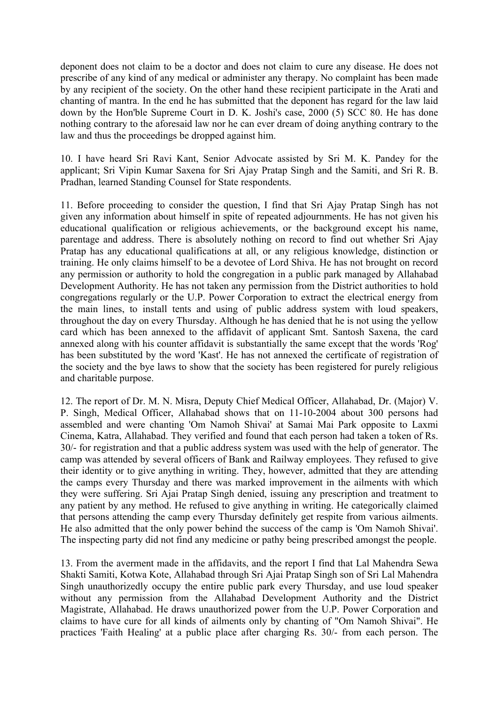deponent does not claim to be a doctor and does not claim to cure any disease. He does not prescribe of any kind of any medical or administer any therapy. No complaint has been made by any recipient of the society. On the other hand these recipient participate in the Arati and chanting of mantra. In the end he has submitted that the deponent has regard for the law laid down by the Hon'ble Supreme Court in D. K. Joshi's case, 2000 (5) SCC 80. He has done nothing contrary to the aforesaid law nor he can ever dream of doing anything contrary to the law and thus the proceedings be dropped against him.

10. I have heard Sri Ravi Kant, Senior Advocate assisted by Sri M. K. Pandey for the applicant; Sri Vipin Kumar Saxena for Sri Ajay Pratap Singh and the Samiti, and Sri R. B. Pradhan, learned Standing Counsel for State respondents.

11. Before proceeding to consider the question, I find that Sri Ajay Pratap Singh has not given any information about himself in spite of repeated adjournments. He has not given his educational qualification or religious achievements, or the background except his name, parentage and address. There is absolutely nothing on record to find out whether Sri Ajay Pratap has any educational qualifications at all, or any religious knowledge, distinction or training. He only claims himself to be a devotee of Lord Shiva. He has not brought on record any permission or authority to hold the congregation in a public park managed by Allahabad Development Authority. He has not taken any permission from the District authorities to hold congregations regularly or the U.P. Power Corporation to extract the electrical energy from the main lines, to install tents and using of public address system with loud speakers, throughout the day on every Thursday. Although he has denied that he is not using the yellow card which has been annexed to the affidavit of applicant Smt. Santosh Saxena, the card annexed along with his counter affidavit is substantially the same except that the words 'Rog' has been substituted by the word 'Kast'. He has not annexed the certificate of registration of the society and the bye laws to show that the society has been registered for purely religious and charitable purpose.

12. The report of Dr. M. N. Misra, Deputy Chief Medical Officer, Allahabad, Dr. (Major) V. P. Singh, Medical Officer, Allahabad shows that on 11-10-2004 about 300 persons had assembled and were chanting 'Om Namoh Shivai' at Samai Mai Park opposite to Laxmi Cinema, Katra, Allahabad. They verified and found that each person had taken a token of Rs. 30/- for registration and that a public address system was used with the help of generator. The camp was attended by several officers of Bank and Railway employees. They refused to give their identity or to give anything in writing. They, however, admitted that they are attending the camps every Thursday and there was marked improvement in the ailments with which they were suffering. Sri Ajai Pratap Singh denied, issuing any prescription and treatment to any patient by any method. He refused to give anything in writing. He categorically claimed that persons attending the camp every Thursday definitely get respite from various ailments. He also admitted that the only power behind the success of the camp is 'Om Namoh Shivai'. The inspecting party did not find any medicine or pathy being prescribed amongst the people.

13. From the averment made in the affidavits, and the report I find that Lal Mahendra Sewa Shakti Samiti, Kotwa Kote, Allahabad through Sri Ajai Pratap Singh son of Sri Lal Mahendra Singh unauthorizedly occupy the entire public park every Thursday, and use loud speaker without any permission from the Allahabad Development Authority and the District Magistrate, Allahabad. He draws unauthorized power from the U.P. Power Corporation and claims to have cure for all kinds of ailments only by chanting of "Om Namoh Shivai". He practices 'Faith Healing' at a public place after charging Rs. 30/- from each person. The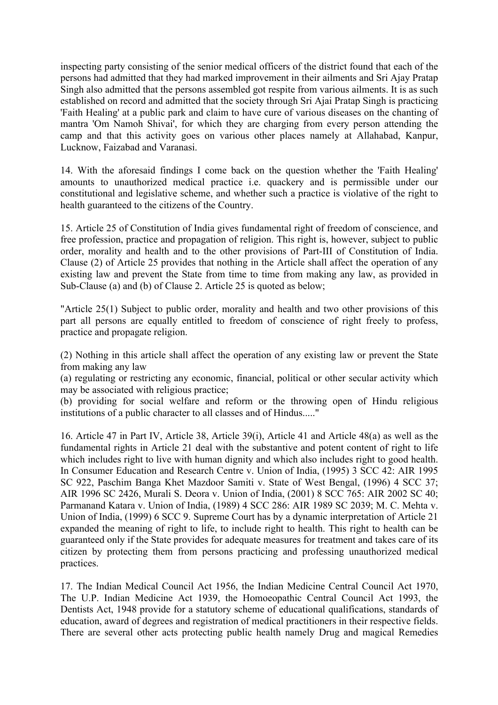inspecting party consisting of the senior medical officers of the district found that each of the persons had admitted that they had marked improvement in their ailments and Sri Ajay Pratap Singh also admitted that the persons assembled got respite from various ailments. It is as such established on record and admitted that the society through Sri Ajai Pratap Singh is practicing 'Faith Healing' at a public park and claim to have cure of various diseases on the chanting of mantra 'Om Namoh Shivai', for which they are charging from every person attending the camp and that this activity goes on various other places namely at Allahabad, Kanpur, Lucknow, Faizabad and Varanasi.

14. With the aforesaid findings I come back on the question whether the 'Faith Healing' amounts to unauthorized medical practice i.e. quackery and is permissible under our constitutional and legislative scheme, and whether such a practice is violative of the right to health guaranteed to the citizens of the Country.

15. Article 25 of Constitution of India gives fundamental right of freedom of conscience, and free profession, practice and propagation of religion. This right is, however, subject to public order, morality and health and to the other provisions of Part-III of Constitution of India. Clause (2) of Article 25 provides that nothing in the Article shall affect the operation of any existing law and prevent the State from time to time from making any law, as provided in Sub-Clause (a) and (b) of Clause 2. Article 25 is quoted as below;

"Article 25(1) Subject to public order, morality and health and two other provisions of this part all persons are equally entitled to freedom of conscience of right freely to profess, practice and propagate religion.

(2) Nothing in this article shall affect the operation of any existing law or prevent the State from making any law

(a) regulating or restricting any economic, financial, political or other secular activity which may be associated with religious practice;

(b) providing for social welfare and reform or the throwing open of Hindu religious institutions of a public character to all classes and of Hindus....."

16. Article 47 in Part IV, Article 38, Article 39(i), Article 41 and Article 48(a) as well as the fundamental rights in Article 21 deal with the substantive and potent content of right to life which includes right to live with human dignity and which also includes right to good health. In Consumer Education and Research Centre v. Union of India, (1995) 3 SCC 42: AIR 1995 SC 922, Paschim Banga Khet Mazdoor Samiti v. State of West Bengal, (1996) 4 SCC 37; AIR 1996 SC 2426, Murali S. Deora v. Union of India, (2001) 8 SCC 765: AIR 2002 SC 40; Parmanand Katara v. Union of India, (1989) 4 SCC 286: AIR 1989 SC 2039; M. C. Mehta v. Union of India, (1999) 6 SCC 9. Supreme Court has by a dynamic interpretation of Article 21 expanded the meaning of right to life, to include right to health. This right to health can be guaranteed only if the State provides for adequate measures for treatment and takes care of its citizen by protecting them from persons practicing and professing unauthorized medical practices.

17. The Indian Medical Council Act 1956, the Indian Medicine Central Council Act 1970, The U.P. Indian Medicine Act 1939, the Homoeopathic Central Council Act 1993, the Dentists Act, 1948 provide for a statutory scheme of educational qualifications, standards of education, award of degrees and registration of medical practitioners in their respective fields. There are several other acts protecting public health namely Drug and magical Remedies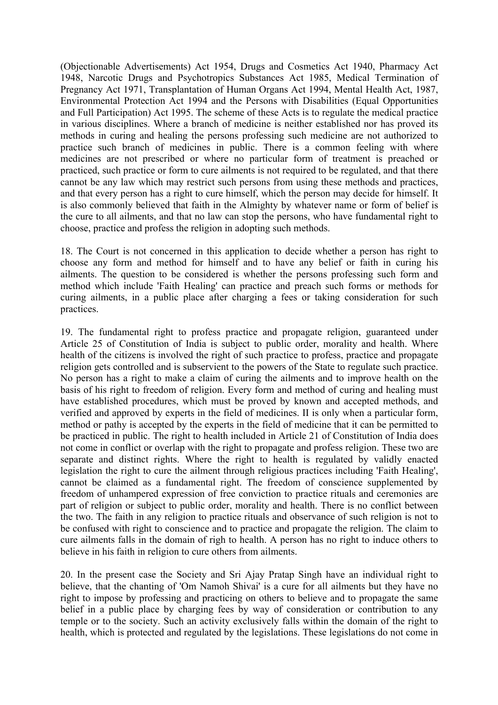(Objectionable Advertisements) Act 1954, Drugs and Cosmetics Act 1940, Pharmacy Act 1948, Narcotic Drugs and Psychotropics Substances Act 1985, Medical Termination of Pregnancy Act 1971, Transplantation of Human Organs Act 1994, Mental Health Act, 1987, Environmental Protection Act 1994 and the Persons with Disabilities (Equal Opportunities and Full Participation) Act 1995. The scheme of these Acts is to regulate the medical practice in various disciplines. Where a branch of medicine is neither established nor has proved its methods in curing and healing the persons professing such medicine are not authorized to practice such branch of medicines in public. There is a common feeling with where medicines are not prescribed or where no particular form of treatment is preached or practiced, such practice or form to cure ailments is not required to be regulated, and that there cannot be any law which may restrict such persons from using these methods and practices, and that every person has a right to cure himself, which the person may decide for himself. It is also commonly believed that faith in the Almighty by whatever name or form of belief is the cure to all ailments, and that no law can stop the persons, who have fundamental right to choose, practice and profess the religion in adopting such methods.

18. The Court is not concerned in this application to decide whether a person has right to choose any form and method for himself and to have any belief or faith in curing his ailments. The question to be considered is whether the persons professing such form and method which include 'Faith Healing' can practice and preach such forms or methods for curing ailments, in a public place after charging a fees or taking consideration for such practices.

19. The fundamental right to profess practice and propagate religion, guaranteed under Article 25 of Constitution of India is subject to public order, morality and health. Where health of the citizens is involved the right of such practice to profess, practice and propagate religion gets controlled and is subservient to the powers of the State to regulate such practice. No person has a right to make a claim of curing the ailments and to improve health on the basis of his right to freedom of religion. Every form and method of curing and healing must have established procedures, which must be proved by known and accepted methods, and verified and approved by experts in the field of medicines. II is only when a particular form, method or pathy is accepted by the experts in the field of medicine that it can be permitted to be practiced in public. The right to health included in Article 21 of Constitution of India does not come in conflict or overlap with the right to propagate and profess religion. These two are separate and distinct rights. Where the right to health is regulated by validly enacted legislation the right to cure the ailment through religious practices including 'Faith Healing', cannot be claimed as a fundamental right. The freedom of conscience supplemented by freedom of unhampered expression of free conviction to practice rituals and ceremonies are part of religion or subject to public order, morality and health. There is no conflict between the two. The faith in any religion to practice rituals and observance of such religion is not to be confused with right to conscience and to practice and propagate the religion. The claim to cure ailments falls in the domain of righ to health. A person has no right to induce others to believe in his faith in religion to cure others from ailments.

20. In the present case the Society and Sri Ajay Pratap Singh have an individual right to believe, that the chanting of 'Om Namoh Shivai' is a cure for all ailments but they have no right to impose by professing and practicing on others to believe and to propagate the same belief in a public place by charging fees by way of consideration or contribution to any temple or to the society. Such an activity exclusively falls within the domain of the right to health, which is protected and regulated by the legislations. These legislations do not come in